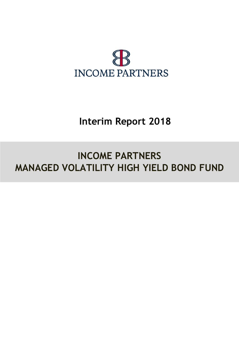

# **Interim Report 2018**

# **INCOME PARTNERS MANAGED VOLATILITY HIGH YIELD BOND FUND**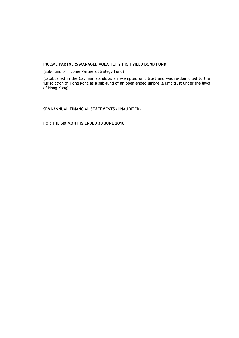(Sub–Fund of Income Partners Strategy Fund)

(Established in the Cayman Islands as an exempted unit trust and was re-domiciled to the jurisdiction of Hong Kong as a sub-fund of an open ended umbrella unit trust under the laws of Hong Kong)

**SEMI-ANNUAL FINANCIAL STATEMENTS (UNAUDITED)**

**FOR THE SIX MONTHS ENDED 30 JUNE 2018**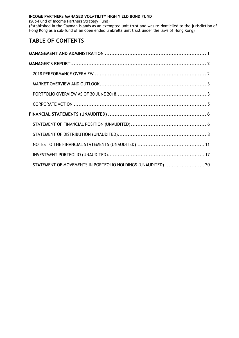(Sub-Fund of Income Partners Strategy Fund)

(Established in the Cayman Islands as an exempted unit trust and was re-domiciled to the jurisdiction of Hong Kong as a sub-fund of an open ended umbrella unit trust under the laws of Hong Kong)

# **TABLE OF CONTENTS**

| STATEMENT OF MOVEMENTS IN PORTFOLIO HOLDINGS (UNAUDITED)  20 |  |
|--------------------------------------------------------------|--|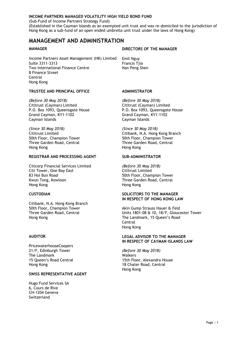(Sub-Fund of Income Partners Strategy Fund)

(Established in the Cayman Islands as an exempted unit trust and was re-domiciled to the jurisdiction of Hong Kong as a sub-fund of an open ended umbrella unit trust under the laws of Hong Kong)

## <span id="page-4-0"></span>**MANAGEMENT AND ADMINISTRATION**

Income Partners Asset Management (HK) Limited Emil Nguy Suite 3311-3313 Francis Tjia Two International Finance Centre Nan Peng Shen 8 Finance Street Central Hong Kong

#### **TRUSTEE AND PRINCIPAL OFFICE ADMINISTRATOR**

*(Before 30 May 2018) (Before 30 May 2018)* P.O. Box 1093, Queensgate House Grand Cayman, KY1-1102 Grand Cayman, KY1-1102 Cayman Islands Cayman Islands

*(Since 30 May 2018) (Since 30 May 2018)* 50th Floor, Champion Tower<br>
Three Garden Road, Central
Three Garden Road, Central
Three Garden Road, Central Three Garden Road, Central Hong Kong Hong Kong

#### **REGISTRAR AND PROCESSING AGENT SUB–ADMINISTRATOR**

Citicorp Financial Services Limited *(Before 30 May 2018)* Citi Tower, One Bay East 83 Hoi Bun Road **50th Floor, Champion Tower** Kwun Tong, Kowloon Three Garden Road, Central Hong Kong Hong Kong

Citibank, N.A. Hong Kong Branch 50th Floor, Champion Tower **Akin Gump Strauss Hauer & Feld** Hong Kong The Landmark, 15 Queen's Road

PricewaterhouseCoopers 21/F, Edinburgh Tower *(Before 30 May 2018)* The Landmark Walkers Hong Kong 18 Chater Road, Central

#### **SWISS REPRESENTATIVE AGENT**

Hugo Fund Services SA 6, Cours de Rive CH-1204 Geneva Switzerland

#### **MANAGER** DIRECTORS OF THE MANAGER

Cititrust (Cayman) Limited<br>
P.O. Box 1093, Queensgate House<br>
P.O. Box 1093, Queensgate House<br>
P.O. Box 1093, Queensgate House

Cititrust Limited Citibank, N.A. Hong Kong Branch

#### **CUSTODIAN SOLICITORS TO THE MANAGER IN RESPECT OF HONG KONG LAW**

Three Garden Road, Central Units 1801-08 & 10, 18/F, Gloucester Tower **Central** Hong Kong

#### **AUDITOR LEGAL ADVISOR TO THE MANAGER IN RESPECT OF CAYMAN ISLANDS LAW**

15 Queen's Road Central 15th Floor, Alexandra House Hong Kong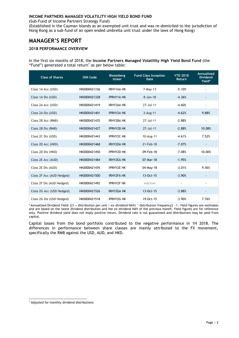(Sub-Fund of Income Partners Strategy Fund)

(Established in the Cayman Islands as an exempted unit trust and was re-domiciled to the jurisdiction of Hong Kong as a sub-fund of an open ended umbrella unit trust under the laws of Hong Kong)

# <span id="page-5-0"></span>**MANAGER'S REPORT**

#### <span id="page-5-1"></span>**2018 PERFORMANCE OVERVIEW**

In the first six months of 2018, the **Income Partners Managed Volatility High Yield Bond Fund** (the "Fund") generated a total return<sup>1</sup> as per below table:

| <b>Class of Shares</b>    | <b>ISIN Code</b> | <b>Bloomberg</b><br>ticker | <b>Fund Class Inception</b><br><b>Date</b> | <b>YTD 2018</b><br><b>Return</b> | Annualized<br><b>Dividend</b><br>Yield* |
|---------------------------|------------------|----------------------------|--------------------------------------------|----------------------------------|-----------------------------------------|
| Class 1A Acc (USD)        | HK0000421336     | <b>IRHY1AA HK</b>          | $7-Mav-13$                                 | $-5.10%$                         |                                         |
| Class 1A Dis (USD)        | HK0000421328     | <b>IPRHY1A HK</b>          | $8 - Jan - 18$                             | $-4.36%$                         | $\overline{\phantom{a}}$                |
| Class 2A Acc (USD)        | HK0000421419     | IRHY2AA HK                 | 27-Jul-11                                  | $-4.60%$                         |                                         |
| Class 2A Dis (USD)        | HK0000421401     | <b>IPRHY2A HK</b>          | $3 - Aug - 11$                             | $-4.62%$                         | 9.88%                                   |
| Class 2B Acc (RMB)        | HK0000421435     | <b>IRHY2BA HK</b>          | 27-Jul-11                                  | $-2.88%$                         |                                         |
| Class 2B Dis (RMB)        | HK0000421427     | <b>IPRHY2B HK</b>          | 27-Jul-11                                  | $-2.88%$                         | 10.08%                                  |
| Class 2C Dis (USD)        | HK0000421443     | <b>IPRHY2C HK</b>          | 10-Aug-11                                  | $-4.61%$                         | 7.52%                                   |
| Class 2D Acc (HKD)        | HK0000421468     | IRHY2DA HK                 | 21-Feb-18                                  | $-7.07%$                         | $\overline{\phantom{a}}$                |
| Class 2D Dis (HKD)        | HK0000421450     | <b>IPRHY2D HK</b>          | 09-Feb-18                                  | $-7.08%$                         | 10.00%                                  |
| Class 2E Acc (AUD)        | HK0000421484     | <b>IRHY2EA HK</b>          | 07-Mar-18                                  | $-1.95%$                         | $\overline{\phantom{a}}$                |
| Class 2E Dis (AUD)        | HK0000421476     | <b>IPRHY2E HK</b>          | 04-May-18                                  | $-3.01%$                         | 9.56%                                   |
| Class 2F Acc (AUD Hedged) | HK0000421500     | <b>IRHY2FA HK</b>          | 13-Oct-15                                  | $-3.90%$                         | ٠                                       |
| Class 2F Dis (AUD Hedged) | HK0000421492     | <b>IPRHY2F HK</b>          | Inactive                                   |                                  |                                         |
| Class 2G Acc (USD Hedged) | HK0000421526     | IRHY2GA HK                 | 13-Oct-15                                  | $-3.88%$                         | $\overline{\phantom{a}}$                |
| Class 2G Dis (USD Hedged) | HK0000421518     | <b>IPRHY2G HK</b>          | 19-Oct-15                                  | $-3.90%$                         | 7.76%                                   |

\* Annualized Dividend Yield: [(1 + distribution per unit / ex-dividend NAV) ^ distribution frequency] – 1. Yield figures are estimates and are based on the latest dividend distribution and the ex-dividend NAV of the previous month. Yield figures are for reference only. Positive dividend yield does not imply positive return. Dividend rate is not guaranteed and distributions may be paid from capital.

Capital losses from the bond portfolio contributed to the negative performance in 1H 2018. The differences in performance between share classes are mainly attributed to the FX movement, specifically the RMB against the USD, AUD, and HKD.

<sup>-</sup><sup>1</sup> Adjusted for monthly dividend distributions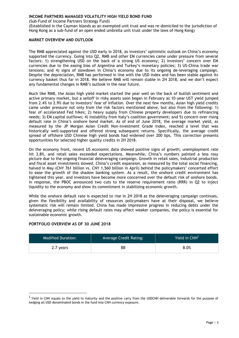(Sub-Fund of Income Partners Strategy Fund)

(Established in the Cayman Islands as an exempted unit trust and was re-domiciled to the jurisdiction of Hong Kong as a sub-fund of an open ended umbrella unit trust under the laws of Hong Kong)

#### <span id="page-6-0"></span>**MARKET OVERVIEW AND OUTLOOK**

The RMB appreciated against the USD early in 2018, as investors' optimistic outlook on China's economy supported the currency. Going into Q2, RMB and other EM currencies came under pressure from several factors: 1) strengthening USD on the back of a strong US economy; 2) investors' concern over EM currencies due to the easing bias of Argentina and Turkey's monetary policies; 3) US-China trade war tensions; and 4) signs of slowdown in China's economy due to its ongoing de-leveraging campaign. Despite the depreciation, RMB has performed in line with the USD index and has been stable against its currency basket thus far in 2018. We believe RMB will remain stable in 2H 2018, and we don't expect any fundamental changes in RMB's outlook in the near future.

Much like RMB, the Asian high yield market started the year well on the back of bullish sentiment and active primary market, but a selloff in risky assets soon began in February as 10-year UST yield jumped from 2.4% to 2.9% due to investors' fear of inflation. Over the next few months, Asian high yield credits came under pressure not only from the risk factors mentioned above, but also from the following: 1) fear of accelerated Fed hikes; 2) heavy supply from Chinese property developers due to refinancing needs; 3) EM capital outflows; 4) instability from Italy's coalition government; and 5) concern over rising default rate in China's onshore bond market. As of end of June 2018, the average market yield, as measured by the JP Morgan Asian Credit Non-Investment Grade Index, reached a level that was historically well-supported and offered strong subsequent returns. Specifically, the average credit spread of offshore USD Chinese high yield bonds had widened over 200 bps. This correction presents opportunities for selected higher quality credits in 2H 2018.

On the economy front, recent US economic data showed positive signs of growth; unemployment rate hit 3.8%, and retail sales exceeded expectations. Meanwhile, China's numbers painted a less rosy picture due to the ongoing financial deleveraging campaign. Growth in retail sales, industrial production and fiscal asset investments slowed. China's credit expansion, as measured by the total social financing, halved in May (CNY 761 billion vs. CNY 1,560 billion in April) behind the policymakers' concerted effort to ease the growth of the shadow banking system. As a result, the onshore credit environment has tightened this year, and investors have become more concerned over the default risk of onshore bonds. In response, the PBOC announced two cuts to the reserve requirement ratio (RRR) in Q2 to inject liquidity to the economy and show its commitment in stabilizing economic growth.

While the onshore default rate is expected to rise in 2H 2018 as the deleveraging campaign continues, given the flexibility and availability of resources policymakers have at their disposal, we believe systematic risk will remain limited. China has made impressive progress in reducing debts under the deleveraging policy; while rising default rates may affect weaker companies, the policy is essential for sustainable economic growth.

#### <span id="page-6-1"></span>**PORTFOLIO OVERVIEW AS OF 30 JUNE 2018**

-

| <b>Modified Duration:</b> | Average Credit Rating: | Yield in $CNH2$ |
|---------------------------|------------------------|-----------------|
| 2.7 years                 | BВ                     | 8.0%            |

 $^2$  Yield in CNH equals to the yield to maturity and the positive carry from the USDCNH deliverable forwards for the purpose of hedging all USD denominated bonds in the fund into CNH currency exposure.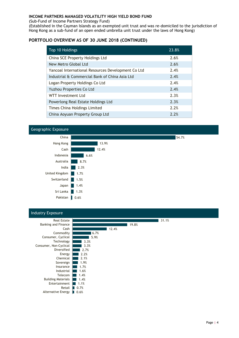(Sub-Fund of Income Partners Strategy Fund)

(Established in the Cayman Islands as an exempted unit trust and was re-domiciled to the jurisdiction of Hong Kong as a sub-fund of an open ended umbrella unit trust under the laws of Hong Kong)

### **PORTFOLIO OVERVIEW AS OF 30 JUNE 2018 (CONTINUED)**

| Top 10 Holdings                                    | 23.8% |
|----------------------------------------------------|-------|
| China SCE Property Holdings Ltd                    | 2.6%  |
| New Metro Global Ltd                               | 2.6%  |
| Yancoal International Resources Development Co Ltd | 2.4%  |
| Industrial & Commercial Bank of China Asia Ltd     | 2.4%  |
| Logan Property Holdings Co Ltd                     | 2.4%  |
| Yuzhou Properties Co Ltd                           | 2.4%  |
| WTT Investment Ltd                                 | 2.3%  |
| Powerlong Real Estate Holdings Ltd                 | 2.3%  |
| Times China Holdings Limited                       | 2.2%  |
| China Aoyuan Property Group Ltd                    | 2.2%  |



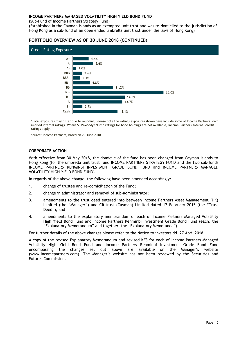(Sub-Fund of Income Partners Strategy Fund)

(Established in the Cayman Islands as an exempted unit trust and was re-domiciled to the jurisdiction of Hong Kong as a sub-fund of an open ended umbrella unit trust under the laws of Hong Kong)

#### **PORTFOLIO OVERVIEW AS OF 30 JUNE 2018 (CONTINUED)**



#Total exposures may differ due to rounding. Please note the ratings exposures shown here include some of Income Partners' own implied internal ratings. Where S&P/Moody's/Fitch ratings for bond holdings are not available, Income Partners' internal credit ratings apply.

Source: Income Partners, based on 29 June 2018

#### <span id="page-8-0"></span>**CORPORATE ACTION**

With effective from 30 May 2018, the domicile of the fund has been changed from Cayman Islands to Hong Kong (for the umbrella unit trust fund INCOME PARTNERS STRATEGY FUND and the two sub-funds INCOME PARTNERS RENMINBI INVESTMENT GRADE BOND FUND and INCOME PARTNERS MANAGED VOLATILITY HIGH YIELD BOND FUND).

In regards of the above change, the following have been amended accordingly:

- 1. change of trustee and re-domiciliation of the Fund;
- 2. change in administrator and removal of sub-administrator;
- 3. amendments to the trust deed entered into between Income Partners Asset Management (HK) Limited (the "Manager") and Cititrust (Cayman) Limited dated 17 February 2015 (the "Trust Deed"); and
- 4. amendments to the explanatory memorandum of each of Income Partners Managed Volatility High Yield Bond Fund and Income Partners Renminbi Investment Grade Bond Fund (each, the "Explanatory Memorandum" and together, the "Explanatory Memoranda").

For further details of the above changes please refer to the Notice to investors dd. 27 April 2018.

A copy of the revised Explanatory Memorandum and revised KFS for each of Income Partners Managed Volatility High Yield Bond Fund and Income Partners Renminbi Investment Grade Bond Fund encompassing the changes set out above are available on the Manager's website (www.incomepartners.com). The Manager's website has not been reviewed by the Securities and Futures Commission.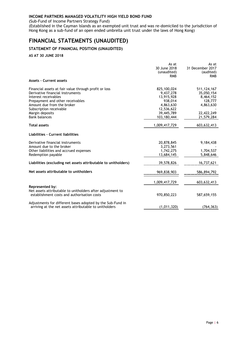(Sub-Fund of Income Partners Strategy Fund)

(Established in the Cayman Islands as an exempted unit trust and was re-domiciled to the jurisdiction of Hong Kong as a sub-fund of an open ended umbrella unit trust under the laws of Hong Kong)

## <span id="page-9-0"></span>**FINANCIAL STATEMENTS (UNAUDITED)**

### <span id="page-9-1"></span>**STATEMENT OF FINANCIAL POSITION (UNAUDITED)**

**AS AT 30 JUNE 2018**

|                                                                                                           | As at         | As at            |
|-----------------------------------------------------------------------------------------------------------|---------------|------------------|
|                                                                                                           | 30 June 2018  | 31 December 2017 |
|                                                                                                           | (unaudited)   | (audited)        |
|                                                                                                           | <b>RMB</b>    | <b>RMB</b>       |
| <b>Assets - Current assets</b>                                                                            |               |                  |
| Financial assets at fair value through profit or loss                                                     | 825,100,024   | 511, 124, 167    |
| Derivative financial instruments                                                                          | 9,437,278     | 35,050,154       |
| Interest receivables                                                                                      | 13,915,928    | 8,464,152        |
| Prepayment and other receivables                                                                          | 938,014       | 128,777          |
| Amount due from the broker                                                                                | 4,863,630     | 4,863,630        |
| Subscription receivable                                                                                   | 12,536,622    |                  |
| Margin deposits                                                                                           | 39,445,789    | 22,422,249       |
| <b>Bank balances</b>                                                                                      | 103,180,444   | 21,579,284       |
| <b>Total assets</b>                                                                                       | 1,009,417,729 | 603,632,413      |
| Liabilities - Current liabilities                                                                         |               |                  |
| Derivative financial instruments                                                                          | 20,878,845    | 9,184,438        |
| Amount due to the broker                                                                                  | 3,273,561     |                  |
| Other liabilities and accrued expenses                                                                    | 1,742,275     | 1,704,537        |
| Redemption payable                                                                                        | 13,684,145    | 5,848,646        |
| Liabilities (excluding net assets attributable to unitholders)                                            | 39,578,826    | 16,737,621       |
| Net assets attributable to unitholders                                                                    | 969,838,903   | 586,894,792      |
|                                                                                                           | 1,009,417,729 | 603,632,413      |
| Represented by:                                                                                           |               |                  |
| Net assets attributable to unitholders after adjustment to<br>establishment costs and authorisation costs | 970,850,223   | 587,659,155      |
| Adjustments for different bases adopted by the Sub-Fund in                                                |               |                  |
| arriving at the net assets attributable to unitholders                                                    | (1,011,320)   | (764, 363)       |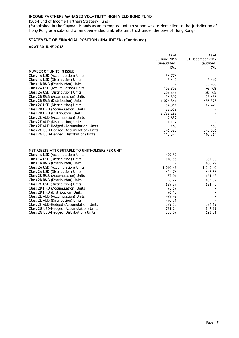(Sub-Fund of Income Partners Strategy Fund)

(Established in the Cayman Islands as an exempted unit trust and was re-domiciled to the jurisdiction of Hong Kong as a sub-fund of an open ended umbrella unit trust under the laws of Hong Kong)

#### **STATEMENT OF FINANCIAL POSITION (UNAUDITED) (Continued)**

**AS AT 30 JUNE 2018**

|                                                 | As at        | As at            |
|-------------------------------------------------|--------------|------------------|
|                                                 | 30 June 2018 | 31 December 2017 |
|                                                 | (unaudited)  | (audited)        |
|                                                 | <b>RMB</b>   | <b>RMB</b>       |
| NUMBER OF UNITS IN ISSUE                        |              |                  |
| Class 1A USD (Accumulation) Units               | 56,776       |                  |
| Class 1A USD (Distribution) Units               | 8,419        | 8,419            |
| Class 1B RMB (Distribution) Units               |              | 83,450           |
| Class 2A USD (Accumulation) Units               | 108,808      | 76,408           |
| Class 2A USD (Distribution) Units               | 202,843      | 80,405           |
| Class 2B RMB (Accumulation) Units               | 196,302      | 192,456          |
| Class 2B RMB (Distribution) Units               | 1,024,341    | 656,373          |
| Class 2C USD (Distribution) Units               | 54,311       | 17,479           |
| Class 2D HKD (Accumulation) Units               | 32,559       |                  |
| Class 2D HKD (Distribution) Units               | 2,732,282    |                  |
| Class 2E AUD (Accumulation) Units               | 2,657        |                  |
| Class 2E AUD (Distribution) Units               | 1,197        |                  |
| Class 2F AUD-Hedged (Accumulation) Units        | 160          | 160              |
| Class 2G USD-Hedged (Accumulation) Units        | 346,820      | 348,036          |
| Class 2G USD-Hedged (Distribution) Units        | 110,544      | 110,764          |
|                                                 |              |                  |
| NET ASSETS ATTRIBUTABLE TO UNITHOLDERS PER UNIT |              |                  |
| Class 1A USD (Accumulation) Units               | 629.52       |                  |
| Class 1A USD (Distribution) Units               | 840.56       | 863.38           |
| Class 1B RMB (Distribution) Units               |              | 100.29           |
| Class 2A USD (Accumulation) Units               | 1,010.43     | 1,040.40         |
| Class 2A USD (Distribution) Units               | 604.76       | 648.86           |
| Class 2B RMB (Accumulation) Units               | 157.01       | 161.68           |
| Class 2B RMB (Distribution) Units               | 96.27        | 103.82           |
| Class 2C USD (Distribution) Units               | 639.37       | 681.45           |
| Class 2D HKD (Accumulation) Units               | 78.57        |                  |
| Class 2D HKD (Distribution) Units               | 76.18        |                  |

Class 2E AUD (Accumulation) Units 479.49 - 479.49 - 479.49 Class 2E AUD (Distribution) Units 470.71 - Class 2F AUD-Hedged (Accumulation) Units 539.50 539.50 584.69 Class 2G USD-Hedged (Accumulation) Units 731.24 747.29 Class 2G USD-Hedged (Distribution) Units 588.07 588.07 588.07 588.01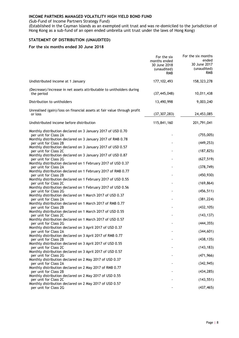(Sub-Fund of Income Partners Strategy Fund)

(Established in the Cayman Islands as an exempted unit trust and was re-domiciled to the jurisdiction of Hong Kong as a sub-fund of an open ended umbrella unit trust under the laws of Hong Kong)

### <span id="page-11-0"></span>**STATEMENT OF DISTRIBUTION (UNAUDITED)**

#### **For the six months ended 30 June 2018**

|                                                                                       | For the six<br>months ended<br>30 June 2018<br>(unaudited)<br><b>RMB</b> | For the six months<br>ended<br>30 June 2017<br>(unaudited)<br><b>RMB</b> |
|---------------------------------------------------------------------------------------|--------------------------------------------------------------------------|--------------------------------------------------------------------------|
| Undistributed income at 1 January                                                     | 177, 102, 493                                                            | 158,323,278                                                              |
| (Decrease)/increase in net assets attributable to unitholders during<br>the period    | (37, 445, 048)                                                           | 10,011,438                                                               |
| Distribution to unitholders                                                           | 13,490,998                                                               | 9,003,240                                                                |
| Unrealised (gain)/loss on financial assets at fair value through profit<br>or loss    | (37, 307, 283)                                                           | 24,453,085                                                               |
| Undistributed income before distribution                                              | 115,841,160                                                              | 201,791,041                                                              |
| Monthly distribution declared on 3 January 2017 of USD 0.70<br>per unit for Class 2A  |                                                                          | (755,005)                                                                |
| Monthly distribution declared on 3 January 2017 of RMB 0.78<br>per unit for Class 2B  |                                                                          | (449, 253)                                                               |
| Monthly distribution declared on 3 January 2017 of USD 0.57<br>per unit for Class 2C  |                                                                          | (187, 825)                                                               |
| Monthly distribution declared on 3 January 2017 of USD 0.87<br>per unit for Class 2G  |                                                                          | (627, 519)                                                               |
| Monthly distribution declared on 1 February 2017 of USD 0.37                          |                                                                          |                                                                          |
| per unit for Class 2A<br>Monthly distribution declared on 1 February 2017 of RMB 0.77 |                                                                          | (378, 749)                                                               |
| per unit for Class 2B<br>Monthly distribution declared on 1 February 2017 of USD 0.55 |                                                                          | (450, 930)                                                               |
| per unit for Class 2C                                                                 |                                                                          | (169, 864)                                                               |
| Monthly distribution declared on 1 February 2017 of USD 0.56<br>per unit for Class 2G |                                                                          | (456, 511)                                                               |
| Monthly distribution declared on 1 March 2017 of USD 0.37<br>per unit for Class 2A    |                                                                          | (381, 224)                                                               |
| Monthly distribution declared on 1 March 2017 of RMB 0.77                             |                                                                          |                                                                          |
| per unit for Class 2B<br>Monthly distribution declared on 1 March 2017 of USD 0.55    |                                                                          | (432, 105)                                                               |
| per unit for Class 2C                                                                 |                                                                          | (143, 137)                                                               |
| Monthly distribution declared on 1 March 2017 of USD 0.57<br>per unit for Class 2G    |                                                                          | (444, 355)                                                               |
| Monthly distribution declared on 3 April 2017 of USD 0.37                             |                                                                          |                                                                          |
| per unit for Class 2A<br>Monthly distribution declared on 3 April 2017 of RMB 0.77    |                                                                          | (344, 601)                                                               |
| per unit for Class 2B                                                                 |                                                                          | (438, 135)                                                               |
| Monthly distribution declared on 3 April 2017 of USD 0.55<br>per unit for Class 2C    |                                                                          | (143, 183)                                                               |
| Monthly distribution declared on 3 April 2017 of USD 0.57                             |                                                                          |                                                                          |
| per unit for Class 2G<br>Monthly distribution declared on 2 May 2017 of USD 0.37      |                                                                          | (471, 966)                                                               |
| per unit for Class 2A<br>Monthly distribution declared on 2 May 2017 of RMB 0.77      |                                                                          | (342, 945)                                                               |
| per unit for Class 2B                                                                 |                                                                          | (434, 285)                                                               |
| Monthly distribution declared on 2 May 2017 of USD 0.55<br>per unit for Class 2C      |                                                                          | (143, 551)                                                               |
| Monthly distribution declared on 2 May 2017 of USD 0.57<br>per unit for Class 2G      |                                                                          | (437, 465)                                                               |
|                                                                                       |                                                                          |                                                                          |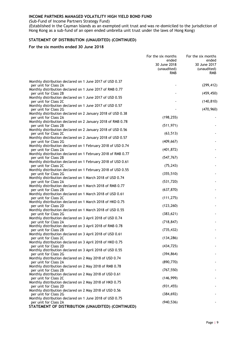(Sub-Fund of Income Partners Strategy Fund)

(Established in the Cayman Islands as an exempted unit trust and was re-domiciled to the jurisdiction of Hong Kong as a sub-fund of an open ended umbrella unit trust under the laws of Hong Kong)

### **STATEMENT OF DISTRIBUTION (UNAUDITED) (CONTINUED)**

#### **For the six months ended 30 June 2018**

|                                                                                                                                                       | For the six months<br>ended<br>30 June 2018<br>(unaudited)<br><b>RMB</b> | For the six months<br>ended<br>30 June 2017<br>(unaudited)<br>RMB |
|-------------------------------------------------------------------------------------------------------------------------------------------------------|--------------------------------------------------------------------------|-------------------------------------------------------------------|
| Monthly distribution declared on 1 June 2017 of USD 0.37<br>per unit for Class 2A                                                                     |                                                                          | (299, 412)                                                        |
| Monthly distribution declared on 1 June 2017 of RMB 0.77<br>per unit for Class 2B                                                                     |                                                                          | (459, 450)                                                        |
| Monthly distribution declared on 1 June 2017 of USD 0.55<br>per unit for Class 2C                                                                     |                                                                          | (140, 810)                                                        |
| Monthly distribution declared on 1 June 2017 of USD 0.57<br>per unit for Class 2G                                                                     |                                                                          | (470, 960)                                                        |
| Monthly distribution declared on 2 January 2018 of USD 0.38<br>per unit for Class 2A                                                                  | (198, 255)                                                               |                                                                   |
| Monthly distribution declared on 2 January 2018 of RMB 0.78<br>per unit for Class 2B                                                                  | (511, 971)                                                               |                                                                   |
| Monthly distribution declared on 2 January 2018 of USD 0.56<br>per unit for Class 2C                                                                  | (63, 513)                                                                |                                                                   |
| Monthly distribution declared on 2 January 2018 of USD 0.57<br>per unit for Class 2G                                                                  | (409, 667)                                                               |                                                                   |
| Monthly distribution declared on 1 February 2018 of USD 0.74<br>per unit for Class 2A                                                                 | (401, 872)                                                               |                                                                   |
| Monthly distribution declared on 1 February 2018 of RMB 0.77<br>per unit for Class 2B<br>Monthly distribution declared on 1 February 2018 of USD 0.61 | (547, 767)                                                               |                                                                   |
| per unit for Class 2C<br>Monthly distribution declared on 1 February 2018 of USD 0.55                                                                 | (75, 243)                                                                |                                                                   |
| per unit for Class 2G<br>Monthly distribution declared on 1 March 2018 of USD 0.74                                                                    | (355, 510)                                                               |                                                                   |
| per unit for Class 2A<br>Monthly distribution declared on 1 March 2018 of RMB 0.77                                                                    | (531, 720)                                                               |                                                                   |
| per unit for Class 2B<br>Monthly distribution declared on 1 March 2018 of USD 0.61                                                                    | (637, 870)                                                               |                                                                   |
| per unit for Class 2C<br>Monthly distribution declared on 1 March 2018 of HKD 0.75                                                                    | (111, 275)                                                               |                                                                   |
| per unit for Class 2D<br>Monthly distribution declared on 1 March 2018 of USD 0.55                                                                    | (123, 260)                                                               |                                                                   |
| per unit for Class 2G<br>Monthly distribution declared on 3 April 2018 of USD 0.74                                                                    | (383, 621)                                                               |                                                                   |
| per unit for Class 2A<br>Monthly distribution declared on 3 April 2018 of RMB 0.78                                                                    | (718, 847)                                                               |                                                                   |
| per unit for Class 2B<br>Monthly distribution declared on 3 April 2018 of USD 0.61                                                                    | (735, 432)                                                               |                                                                   |
| per unit for Class 2C<br>Monthly distribution declared on 3 April 2018 of HKD 0.75                                                                    | (134, 286)<br>(434, 725)                                                 | $\blacksquare$                                                    |
| per unit for Class 2D<br>Monthly distribution declared on 3 April 2018 of USD 0.55<br>per unit for Class 2G                                           | (394, 864)                                                               |                                                                   |
| Monthly distribution declared on 2 May 2018 of USD 0.74<br>per unit for Class 2A                                                                      | (890, 770)                                                               |                                                                   |
| Monthly distribution declared on 2 May 2018 of RMB 0.78<br>per unit for Class 2B                                                                      | (767, 550)                                                               |                                                                   |
| Monthly distribution declared on 2 May 2018 of USD 0.61<br>per unit for Class 2C                                                                      | (146, 999)                                                               |                                                                   |
| Monthly distribution declared on 2 May 2018 of HKD 0.75<br>per unit for Class 2D                                                                      | (931, 455)                                                               |                                                                   |
| Monthly distribution declared on 2 May 2018 of USD 0.56<br>per unit for Class 2G                                                                      | (384, 692)                                                               |                                                                   |
| Monthly distribution declared on 1 June 2018 of USD 0.75<br>per unit for Class 2A                                                                     | (940, 536)                                                               |                                                                   |
| STATEMENT OF DISTRIBUTION (UNAUDITED) (CONTINUED)                                                                                                     |                                                                          |                                                                   |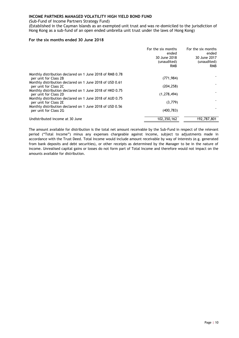(Sub-Fund of Income Partners Strategy Fund)

(Established in the Cayman Islands as an exempted unit trust and was re-domiciled to the jurisdiction of Hong Kong as a sub-fund of an open ended umbrella unit trust under the laws of Hong Kong)

#### **For the six months ended 30 June 2018**

|                                                                                   | For the six months<br>ended<br>30 June 2018<br>(unaudited)<br>RMB | For the six months<br>ended<br>30 June 2017<br>(unaudited)<br><b>RMB</b> |
|-----------------------------------------------------------------------------------|-------------------------------------------------------------------|--------------------------------------------------------------------------|
| Monthly distribution declared on 1 June 2018 of RMB 0.78<br>per unit for Class 2B | (771, 984)                                                        |                                                                          |
| Monthly distribution declared on 1 June 2018 of USD 0.61<br>per unit for Class 2C | (204, 258)                                                        |                                                                          |
| Monthly distribution declared on 1 June 2018 of HKD 0.75<br>per unit for Class 2D | (1, 278, 494)                                                     |                                                                          |
| Monthly distribution declared on 1 June 2018 of AUD 0.75<br>per unit for Class 2E | (3,779)                                                           |                                                                          |
| Monthly distribution declared on 1 June 2018 of USD 0.56<br>per unit for Class 2G | (400, 783)                                                        |                                                                          |
| Undistributed income at 30 June                                                   | 102,350,162                                                       | 192,787,801                                                              |

The amount available for distribution is the total net amount receivable by the Sub-Fund in respect of the relevant period ("Total Income") minus any expenses chargeable against income, subject to adjustments made in accordance with the Trust Deed. Total Income would include amount receivable by way of interests (e.g. generated from bank deposits and debt securities), or other receipts as determined by the Manager to be in the nature of income. Unrealised capital gains or losses do not form part of Total Income and therefore would not impact on the amounts available for distribution.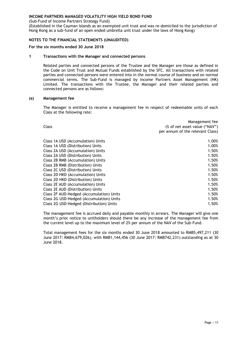(Sub-Fund of Income Partners Strategy Fund)

(Established in the Cayman Islands as an exempted unit trust and was re-domiciled to the jurisdiction of Hong Kong as a sub-fund of an open ended umbrella unit trust under the laws of Hong Kong)

#### <span id="page-14-0"></span>**NOTES TO THE FINANCIAL STATEMENTS (UNAUDITED)**

#### **For the six months ended 30 June 2018**

#### **1 Transactions with the Manager and connected persons**

Related parties and connected persons of the Trustee and the Manager are those as defined in the Code on Unit Trust and Mutual Funds established by the SFC. All transactions with related parties and connected persons were entered into in the normal course of business and on normal commercial terms. The Sub-Fund is managed by Income Partners Asset Management (HK) Limited. The transactions with the Trustee, the Manager and their related parties and connected persons are as follows:

#### **(a) Management fee**

The Manager is entitled to receive a management fee in respect of redeemable units of each Class at the following rate:

| Management fee<br>(% of net asset value ("NAV")<br>per annum of the relevant Class) |
|-------------------------------------------------------------------------------------|
| 1.00%                                                                               |
| 1.00%                                                                               |
| 1.50%                                                                               |
| 1.50%                                                                               |
| 1.50%                                                                               |
| 1.50%                                                                               |
| 1.50%                                                                               |
| 1.50%                                                                               |
| 1.50%                                                                               |
| 1.50%                                                                               |
| 1.50%                                                                               |
| 1.50%                                                                               |
| 1.50%                                                                               |
| 1.50%                                                                               |
|                                                                                     |

The management fee is accrued daily and payable monthly in arrears. The Manager will give one month's prior notice to unitholders should there be any increase of the management fee from the current level up to the maximum level of 2% per annum of the NAV of the Sub-Fund.

Total management fees for the six months ended 30 June 2018 amounted to RMB5,497,211 (30 June 2017: RMB4,679,026), with RMB1,144,456 (30 June 2017: RMB742,231) outstanding as at 30 June 2018.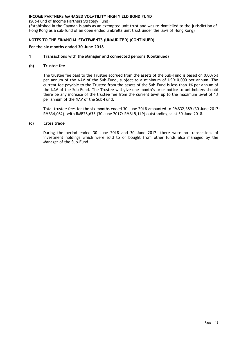(Sub-Fund of Income Partners Strategy Fund)

(Established in the Cayman Islands as an exempted unit trust and was re-domiciled to the jurisdiction of Hong Kong as a sub-fund of an open ended umbrella unit trust under the laws of Hong Kong)

#### **NOTES TO THE FINANCIAL STATEMENTS (UNAUDITED) (CONTINUED)**

#### **For the six months ended 30 June 2018**

#### **1 Transactions with the Manager and connected persons (Continued)**

#### **(b) Trustee fee**

The trustee fee paid to the Trustee accrued from the assets of the Sub-Fund is based on 0.0075% per annum of the NAV of the Sub-Fund, subject to a minimum of USD10,000 per annum. The current fee payable to the Trustee from the assets of the Sub-Fund is less than 1% per annum of the NAV of the Sub-Fund. The Trustee will give one month's prior notice to unitholders should there be any increase of the trustee fee from the current level up to the maximum level of 1% per annum of the NAV of the Sub-Fund.

Total trustee fees for the six months ended 30 June 2018 amounted to RMB32,389 (30 June 2017: RMB34,082), with RMB26,635 (30 June 2017: RMB15,119) outstanding as at 30 June 2018.

#### **(c) Cross trade**

During the period ended 30 June 2018 and 30 June 2017, there were no transactions of investment holdings which were sold to or bought from other funds also managed by the Manager of the Sub-Fund.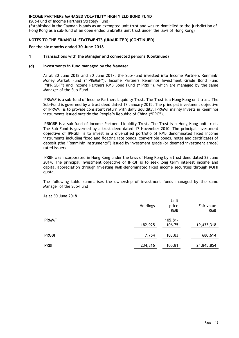(Sub-Fund of Income Partners Strategy Fund)

(Established in the Cayman Islands as an exempted unit trust and was re-domiciled to the jurisdiction of Hong Kong as a sub-fund of an open ended umbrella unit trust under the laws of Hong Kong)

#### **NOTES TO THE FINANCIAL STATEMENTS (UNAUDITED) (CONTINUED)**

**For the six months ended 30 June 2018**

**1 Transactions with the Manager and connected persons (Continued)**

#### **(d) Investments in fund managed by the Manager**

As at 30 June 2018 and 30 June 2017, the Sub-Fund invested into Income Partners Renminbi Money Market Fund ("IPRMMF"), Income Partners Renminbi Investment Grade Bond Fund ("IPRIGBF") and Income Partners RMB Bond Fund ("IPRBF"), which are managed by the same Manager of the Sub-Fund.

IPRMMF is a sub-fund of Income Partners Liquidity Trust. The Trust is a Hong Kong unit trust. The Sub-Fund is governed by a trust deed dated 17 January 2015. The principal investment objective of IPRMMF is to provide consistent return with daily liquidity. IPRMMF mainly invests in Renminbi instruments issued outside the People's Republic of China ("PRC").

IPRIGBF is a sub-fund of Income Partners Liquidity Trust. The Trust is a Hong Kong unit trust. The Sub-Fund is governed by a trust deed dated 17 November 2010. The principal investment objective of IPRGBF is to invest in a diversified portfolio of RMB denominated fixed income instruments including fixed and floating rate bonds, convertible bonds, notes and certificates of deposit (the "Renminbi Instruments") issued by investment grade (or deemed investment grade) rated issuers.

IPRBF was incorporated in Hong Kong under the laws of Hong Kong by a trust deed dated 23 June 2014. The principal investment objective of IPRBF is to seek long term interest income and capital appreciation through investing RMB-denominated fixed income securities through RQFII quota.

The following table summarises the ownership of investment funds managed by the same Manager of the Sub-Fund

|               | Holdings | Unit<br>price<br><b>RMB</b> | Fair value<br><b>RMB</b> |
|---------------|----------|-----------------------------|--------------------------|
| <b>IPRMMF</b> | 182,925  | $105.81 -$<br>106.75        | 19,433,318               |
| <b>IPRGBF</b> | 7,754    | 103.83                      | 680,614                  |
| <b>IPRBF</b>  | 234,816  | 105.81                      | 24,845,854               |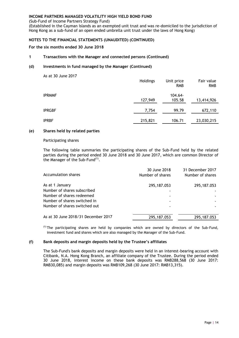(Sub-Fund of Income Partners Strategy Fund)

(Established in the Cayman Islands as an exempted unit trust and was re-domiciled to the jurisdiction of Hong Kong as a sub-fund of an open ended umbrella unit trust under the laws of Hong Kong)

#### **NOTES TO THE FINANCIAL STATEMENTS (UNAUDITED) (CONTINUED)**

**For the six months ended 30 June 2018**

#### **1 Transactions with the Manager and connected persons (Continued)**

#### **(d) Investments in fund managed by the Manager (Continued)**

| As at 30 June 2017 | Holdings | Unit price<br><b>RMB</b> | Fair value<br><b>RMB</b> |
|--------------------|----------|--------------------------|--------------------------|
| <b>IPRMMF</b>      | 127,949  | $104.64 -$<br>105.58     | 13,414,926               |
| <b>IPRGBF</b>      | 7,754    | 99.79                    | 672,110                  |
| <b>IPRBF</b>       | 215,821  | 106.71                   | 23,030,215               |

#### **(e) Shares held by related parties**

#### Participating shares

The following table summaries the participating shares of the Sub-Fund held by the related parties during the period ended 30 June 2018 and 30 June 2017, which are common Director of the Manager of the Sub-Fund $^{(1)}$ .

| Accumulation shares                 | 30 June 2018<br>Number of shares | 31 December 2017<br>Number of shares |
|-------------------------------------|----------------------------------|--------------------------------------|
| As at 1 January                     | 295, 187.053                     | 295,187.053                          |
| Number of shares subscribed         |                                  |                                      |
| Number of shares redeemed           |                                  |                                      |
| Number of shares switched in        |                                  |                                      |
| Number of shares switched out       |                                  |                                      |
| As at 30 June 2018/31 December 2017 | 295, 187.053                     | 295,187.053                          |
|                                     |                                  |                                      |

 $<sup>(1)</sup>$  The participating shares are held by companies which are owned by directors of the Sub-Fund,</sup> investment fund and shares which are also managed by the Manager of the Sub-Fund.

#### **(f) Bank deposits and margin deposits held by the Trustee's affiliates**

The Sub-Fund's bank deposits and margin deposits were held in an interest-bearing account with Citibank, N.A. Hong Kong Branch, an affiliate company of the Trustee. During the period ended 30 June 2018, interest income on these bank deposits was RMB288,568 (30 June 2017: RMB30,085) and margin deposits was RMB109,268 (30 June 2017: RMB13,315).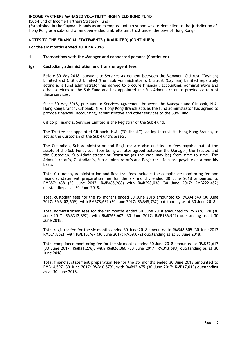(Sub-Fund of Income Partners Strategy Fund)

(Established in the Cayman Islands as an exempted unit trust and was re-domiciled to the jurisdiction of Hong Kong as a sub-fund of an open ended umbrella unit trust under the laws of Hong Kong)

#### **NOTES TO THE FINANCIAL STATEMENTS (UNAUDITED) (CONTINUED)**

**For the six months ended 30 June 2018**

#### **1 Transactions with the Manager and connected persons (Continued)**

#### **(g) Custodian, administration and transfer agent fees**

Before 30 May 2018, pursuant to Services Agreement between the Manager, Cititrust (Cayman) Limited and Cititrust Limited (the "Sub-Administrator"), Cititrust (Cayman) Limited separately acting as a fund administrator has agreed to procure financial, accounting, administrative and other services to the Sub-Fund and has appointed the Sub-Administrator to provide certain of these services.

Since 30 May 2018, pursuant to Services Agreement between the Manager and Citibank, N.A. Hong Kong Branch, Citibank, N.A. Hong Kong Branch acts as the fund administrator has agreed to provide financial, accounting, administrative and other services to the Sub-Fund.

Citicorp Financial Services Limited is the Registrar of the Sub-Fund.

The Trustee has appointed Citibank, N.A. ("Citibank"), acting through its Hong Kong Branch, to act as the Custodian of the Sub-Fund's assets.

The Custodian, Sub-Administrator and Registrar are also entitled to fees payable out of the assets of the Sub-Fund, such fees being at rates agreed between the Manager, the Trustee and the Custodian, Sub-Administrator or Registrar (as the case may be) from time to time. The Administrator's, Custodian's, Sub-administrator's and Registrar's fees are payable on a monthly basis.

Total Custodian, Administration and Registrar fees includes the compliance monitoring fee and financial statement preparation fee for the six months ended 30 June 2018 amounted to RMB571,438 (30 June 2017: RMB485,268) with RMB398,036 (30 June 2017: RMB222,452) outstanding as at 30 June 2018.

Total custodian fees for the six months ended 30 June 2018 amounted to RMB94,549 (30 June 2017: RMB102,659), with RMB78,632 (30 June 2017: RMB45,732) outstanding as at 30 June 2018.

Total administration fees for the six months ended 30 June 2018 amounted to RMB376,170 (30 June 2017: RMB312,892), with RMB263,602 (30 June 2017: RMB136,952) outstanding as at 30 June 2018.

Total registrar fee for the six months ended 30 June 2018 amounted to RMB48,505 (30 June 2017: RMB21,862), with RMB15,767 (30 June 2017: RMB9,072) outstanding as at 30 June 2018.

Total compliance monitoring fee for the six months ended 30 June 2018 amounted to RMB37,617 (30 June 2017: RMB31,276), with RMB26,360 (30 June 2017: RMB13,683) outstanding as at 30 June 2018.

Total financial statement preparation fee for the six months ended 30 June 2018 amounted to RMB14,597 (30 June 2017: RMB16,579), with RMB13,675 (30 June 2017: RMB17,013) outstanding as at 30 June 2018.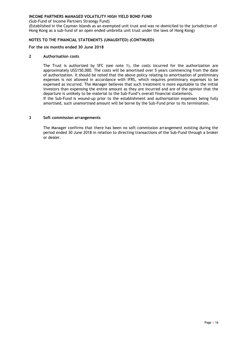(Sub-Fund of Income Partners Strategy Fund)

(Established in the Cayman Islands as an exempted unit trust and was re-domiciled to the jurisdiction of Hong Kong as a sub-fund of an open ended umbrella unit trust under the laws of Hong Kong)

#### **NOTES TO THE FINANCIAL STATEMENTS (UNAUDITED) (CONTINUED)**

#### **For the six months ended 30 June 2018**

#### **2 Authorisation costs**

The Trust is authorized by SFC (see note 1), the costs incurred for the authorization are approximately US\$150,000. The costs will be amortised over 5 years commencing from the date of authorization. It should be noted that the above policy relating to amortisation of preliminary expenses is not allowed in accordance with IFRS, which requires preliminary expenses to be expensed as incurred. The Manager believes that such treatment is more equitable to the initial investors than expensing the entire amount as they are incurred and are of the opinion that the departure is unlikely to be material to the Sub-Fund's overall financial statements.

If the Sub-Fund is wound-up prior to the establishment and authorisation expenses being fully amortised, such unamortised amount will be borne by the Sub-Fund prior to its termination.

#### **3 Soft commission arrangements**

The Manager confirms that there has been no soft commission arrangement existing during the period ended 30 June 2018 in relation to directing transactions of the Sub-Fund through a broker or dealer.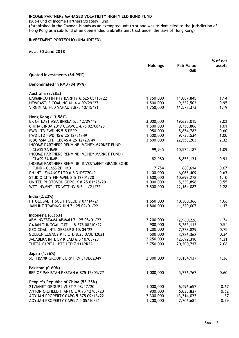(Sub-Fund of Income Partners Strategy Fund)

(Established in the Cayman Islands as an exempted unit trust and was re-domiciled to the jurisdiction of Hong Kong as a sub-fund of an open ended umbrella unit trust under the laws of Hong Kong)

#### <span id="page-20-0"></span>**INVESTMENT PORTFOLIO (UNAUDITED)**

|                                                |                 |                                 | % of net |
|------------------------------------------------|-----------------|---------------------------------|----------|
|                                                | <b>Holdings</b> | <b>Fair Value</b><br><b>RMB</b> | assets   |
| Quoted Investments (84.99%)                    |                 |                                 |          |
| Denominated in RMB (84.99%)                    |                 |                                 |          |
| Australia (3.28%)                              |                 |                                 |          |
| BARMINCO FIN PTY BARPTY 6.625 05/15/22         | 1,750,000       | 11,087,845                      | 1.14     |
| NEWCASTLE COAL NCIAU 4.4 09/29/27              | 1,500,000       | 9,232,503                       | 0.95     |
| VIRGIN AU HLD VAHAU 7.875 10/15/21             | 1,750,000       | 11,578,373                      | 1.19     |
| Hong Kong (13.58%)                             |                 |                                 |          |
| BK OF EAST ASIA BNKEA 5.5 12/29/49             | 3,000,000       | 19,638,015                      | 2.02     |
| CHINA CINDA 2017 CCAMCL 4.75 02/08/28          | 1,500,000       | 9,750,806                       | 1.01     |
| FWD LTD FWDINS 5.5 PERP                        | 950,000         | 5,854,782                       | 0.60     |
| FWD LTD FWDINS 6.25 12/31/49                   | 1,500,000       | 9,735,534                       | 1.00     |
| ICBC ASIA LTD ICBCAS 4.25 12/29/49             | 3,600,000       | 22,558,203                      | 2.32     |
| INCOME PARTNERS RENMINBI MONEY MARKET FUND -   |                 |                                 |          |
| <b>CLASS 2A RMB</b>                            | 99,945          | 10,575,187                      | 1.09     |
| INCOME PARTNERS RENMINBI MONEY MARKET FUND -   |                 |                                 |          |
| <b>CLASS 3A RMB</b>                            | 82,980          | 8,858,131                       | 0.91     |
| INCOME PARTNERS RENMINBI INVESTMENT GRADE BOND |                 |                                 |          |
| FUND - CLASS 2D HKD                            | 7,754           | 680,614                         | 0.07     |
| RH INTL FINANCE LTD 6.5 31DEC2049              | 1,100,000       | 6,065,409                       | 0.63     |
| STUDIO CITY FIN MPEL 8.5 12/01/20              | 1,600,000       | 10,692,278                      | 1.10     |
| UNITED PHOTOVOL GDPOLY 8.25 01/25/20           | 1,000,000       | 5,339,898                       | 0.55     |
| WTT INVMNT LTD WTTINV 5.5 11/21/22             | 3,500,000       | 22,164,082                      | 2.28     |
| India (2.23%)                                  |                 |                                 |          |
| HT GLOBAL IT SOL HTGLOB 7 07/14/21             | 1,550,000       | 10,300,366                      | 1.06     |
| JAIN INT TRADING JIIN 7.125 02/01/22           | 1,800,000       | 11,329,007                      | 1.17     |
| Indonesia (6.36%)                              |                 |                                 |          |
| ABM INVESTAMA ABMMIJ 7.125 08/01/22            | 2,200,000       | 12,980,228                      | 1.34     |
| GAJAH TUNGGAL GJTLIJ 8.375 08/10/22            | 900,000         | 5,263,113                       | 0.54     |
| GEO COAL INTL GERLSP 8 10/04/22                | 1,200,000       | 7,278,829                       | 0.75     |
| GOLDEN LEGACY PTE LTD 8.25 07JUN2021           | 500,000         | 3,286,368                       | 0.34     |
| JABABEKA INTL BV KIJAIJ 6.5 10/05/23           | 2,250,000       | 12,692,310                      | 1.31     |
| THETA CAPITAL PTE LTD 7 11APR22                | 3,750,000       | 20,200,717                      | 2.08     |
| Japan (1.36%)                                  |                 |                                 |          |
| SOFTBANK GROUP CORP FRN 31DEC2049              | 2,300,000       | 13, 184, 137                    | 1.36     |
| Pakistan (0.60%)                               |                 |                                 |          |
| REP OF PAKISTAN PKSTAN 6.875 12/05/27          | 1,000,000       | 5,776,767                       | 0.60     |
| People's Republic of China (53.25%)            |                 |                                 |          |
| 21VIANET GROUP I VNET 7 08/17/20               | 1,000,000       | 6,496,657                       | 0.67     |
| ANTON OILFIELD H ANTOIL 9.75 12/05/20          | 900,000         | 6,033,837                       | 0.62     |
| AOYUAN PROPERTY CAPG 5.375 09/13/22            | 2,300,000       | 13,314,023                      | 1.37     |
| AOYUAN PROPERTY CAPG 7.5 05/10/21              | 1,200,000       | 7,706,684                       | 0.79     |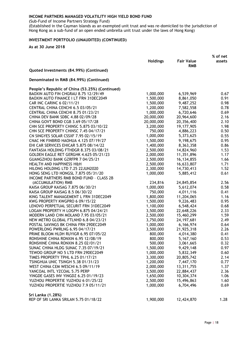(Sub-Fund of Income Partners Strategy Fund)

(Established in the Cayman Islands as an exempted unit trust and was re-domiciled to the jurisdiction of Hong Kong as a sub-fund of an open ended umbrella unit trust under the laws of Hong Kong)

### **INVESTMENT PORTFOLIO (UNAUDITED) (CONTINUED)**

|                                                 | <b>Holdings</b> | <b>Fair Value</b> | % of net<br>assets |
|-------------------------------------------------|-----------------|-------------------|--------------------|
|                                                 |                 | <b>RMB</b>        |                    |
| Quoted Investments (84.99%) (Continued)         |                 |                   |                    |
| Denominated in RMB (84.99%) (Continued)         |                 |                   |                    |
| People's Republic of China (53.25%) (Continued) |                 |                   |                    |
| BAOXIN AUTO FIN CHGRAU 8.75 12/29/49            | 1,000,000       | 6,539,969         | 0.67               |
| BAOXIN AUTO FINANCE I LT FRN 31DEC2049          | 1,500,000       | 8,861,050         | 0.91               |
| CAR INC CARINC 6 02/11/21                       | 1,500,000       | 9,487,252         | 0.98               |
| CENTRAL CHINA CENCHI 6.5 03/05/21               | 1,200,000       | 7,582,558         | 0.78               |
| CENTRAL CHINA CENCHI 8.75 01/23/21              | 1,000,000       | 6,720,646         | 0.69               |
| CHINA DEV BANK SDBC 4.88 02/09/28               | 20,000,000      | 20,964,600        | 2.16               |
| CHINA GOVT BOND CGB 3.69 05/17/28               | 20,000,000      | 20,356,400        | 2.10               |
| CHN SCE PROPERTY CHINSC 5.875 03/10/22          | 3,200,000       | 19,177,905        | 1.98               |
| CHN SCE PROPERTY CHINSC 7.45 04/17/21           | 750,000         | 4,886,223         | 0.50               |
| CN SINGYES SOLAR CSSXF 7.95 02/15/19            | 1,000,000       | 5,373,625         | 0.55               |
| CNAC HK FINBRID HAOHUA 4.125 07/19/27           | 1,500,000       | 9,198,675         | 0.95               |
| EHI CAR SERVICES EHICAR 5.875 08/14/22          | 1,400,000       | 8,363,358         | 0.86               |
| FANTASIA HOLDING FTHDGR 8.375 03/08/21          | 2,500,000       | 14,824,960        | 1.53               |
| <b>GOLDEN EAGLE RET GERGHK 4.625 05/21/23</b>   | 2,000,000       | 11,351,896        | 1.17               |
| GUANGZHOU BANK GZRFPR 7 04/25/21                | 2,500,000       | 16,134,855        | 1.66               |
| <b>HEALTH AND HAPPINESS H&amp;H</b>             | 2,500,000       | 16,633,807        | 1.71               |
| HILONG HOLDING LTD 7.25 22JUN2020               | 2,300,000       | 14,730,413        | 1.52               |
| HONG SENG LTD HONGSL 7.875 05/31/20             | 1,000,000       | 5,885,412         | 0.61               |
| INCOME PARTNERS RMB BOND FUND - CLASS 2B        |                 |                   |                    |
| (ACCUMULATION) RMB                              | 234,816         | 24,845,854        | 2.56               |
| KAISA GROUP KAISAG 7.875 06/30/21               | 1,000,000       | 5,612,074         | 0.58               |
| KAISA GROUP KAISAG 8.5 06/30/22                 | 750,000         | 4,011,116         | 0.41               |
| KING TALENT MANAGEMENT L FRN 31DEC2049          | 1,800,000       | 11,204,065        | 1.16               |
| KWG PROPERTY KWGPRO 6 09/15/22                  | 1,500,000       | 9,226,483         | 0.95               |
| LENOVO PERPETUAL SECURIT FRN 31DEC2049          | 1,100,000       | 6,548,424         | 0.68               |
| LOGAN PROPERTY H LOGPH 6.875 04/24/21           | 3,500,000       | 22,648,226        | 2.33               |
| MODERN LAND CHN MOLAND 7.95 03/05/21            | 2,500,000       | 15,460,299        | 1.59               |
| NEW METRO GLOBAL FTLNHD 6.8 04/23/21            | 3,750,000       | 24, 197, 681      | 2.49               |
| POSTAL SAVINGS BK CHINA FRN 29DEC2049           | 1,000,000       | 6,166,974         | 0.64               |
| POWERLONG PWRLNG 6.95 04/17/21                  | 3,500,000       | 21,925,318        | 2.26               |
| PRIME BLOOM HLDH RUYIGR 6.95 07/05/22           | 800,000         | 4,014,380         | 0.41               |
| RONSHINE CHINA RONXIN 6.95 12/08/19             | 800,000         | 5,167,160         | 0.53               |
| RONSHINE CHINA RONXIN 8.25 02/01/21             | 500,000         | 3,061,665         | 0.32               |
| SUNAC CHINA HLDG SUNAC 7.35 07/19/21            | 1,500,000       | 9,429,148         | 0.97               |
| TEWOO GROUP NO 5 LTD FRN 29DEC2049              | 1,000,000       | 5,832,349         | 0.60               |
| TIMES PROPERTY TPHL 6.25 01/17/21               | 3,300,000       | 20,805,742        | 2.14               |
| TSINGHUA UNIC TSINGH 5.38 01/31/23              | 1,200,000       | 7,447,170         | 0.77               |
| <b>WEST CHINA CEM WESCHI 6.5 09/11/19</b>       | 2,000,000       | 13,311,755        | 1.37               |
| YANCOAL INTL YZCOAL 5.75 PERP                   | 3,500,000       | 22,884,437        | 2.36               |
| YINGDE GASES INV YINGDZ 6.25 01/19/23           | 1,650,000       | 10,304,374        | 1.06               |
| YUZHOU PROPERTIE YUZHOU 6 01/25/22              | 2,500,000       | 15,496,863        | 1.60               |
| YUZHOU PROPERTIE YUZHOU 7.9 05/11/21            | 1,000,000       | 6,704,496         | 0.69               |
| Sri Lanka (1.28%)                               |                 |                   |                    |
| REP OF SRI LANKA SRILAN 5.75 01/18/22           | 1,900,000       | 12,424,870        | 1.28               |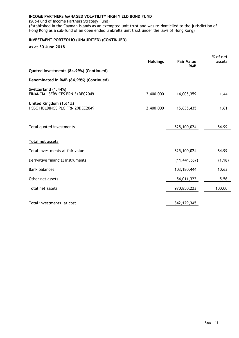(Sub-Fund of Income Partners Strategy Fund)

(Established in the Cayman Islands as an exempted unit trust and was re-domiciled to the jurisdiction of Hong Kong as a sub-fund of an open ended umbrella unit trust under the laws of Hong Kong)

### **INVESTMENT PORTFOLIO (UNAUDITED) (CONTINUED)**

|                                                                | <b>Holdings</b> | <b>Fair Value</b><br><b>RMB</b> | % of net<br>assets |
|----------------------------------------------------------------|-----------------|---------------------------------|--------------------|
| Quoted Investments (84.99%) (Continued)                        |                 |                                 |                    |
| Denominated in RMB (84.99%) (Continued)                        |                 |                                 |                    |
| Switzerland (1.44%)<br><b>FINANCIAL SERVICES FRN 31DEC2049</b> | 2,400,000       | 14,005,359                      | 1.44               |
| United Kingdom (1.61%)<br>HSBC HOLDINGS PLC FRN 29DEC2049      | 2,400,000       | 15,635,435                      | 1.61               |
| Total quoted investments                                       |                 | 825,100,024                     | 84.99              |
| Total net assets                                               |                 |                                 |                    |
| Total investments at fair value                                |                 | 825,100,024                     | 84.99              |
| Derivative financial instruments                               |                 | (11, 441, 567)                  | (1.18)             |
| <b>Bank balances</b>                                           |                 | 103,180,444                     | 10.63              |
| Other net assets                                               |                 | 54,011,322                      | 5.56               |
| Total net assets                                               |                 | 970,850,223                     | 100.00             |
| Total investments, at cost                                     |                 | 842, 129, 345                   |                    |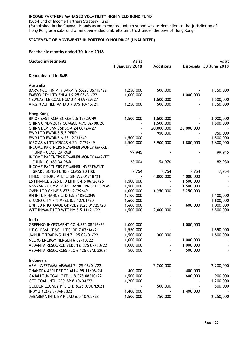(Sub-Fund of Income Partners Strategy Fund)

(Established in the Cayman Islands as an exempted unit trust and was re-domiciled to the jurisdiction of Hong Kong as a sub-fund of an open ended umbrella unit trust under the laws of Hong Kong)

### <span id="page-23-0"></span>**STATEMENT OF MOVEMENTS IN PORTFOLIO HOLDINGS (UNAUDITED)**

#### **For the six months ended 30 June 2018**

| Quoted investments                                         | As at          |                  | As at      |                        |
|------------------------------------------------------------|----------------|------------------|------------|------------------------|
|                                                            | 1 January 2018 | <b>Additions</b> |            | Disposals 30 June 2018 |
| <b>Denominated in RMB</b>                                  |                |                  |            |                        |
| Australia                                                  |                |                  |            |                        |
| BARMINCO FIN PTY BARPTY 6.625 05/15/22                     | 1,250,000      | 500,000          |            | 1,750,000              |
| EMECO PTY LTD EHLAU 9.25 03/31/22                          | 1,000,000      |                  | 1,000,000  |                        |
| NEWCASTLE COAL NCIAU 4.4 09/29/27                          |                | 1,500,000        |            | 1,500,000              |
| VIRGIN AU HLD VAHAU 7.875 10/15/21                         | 1,250,000      | 500,000          |            | 1,750,000              |
| <b>Hong Kong</b>                                           |                |                  |            |                        |
| BK OF EAST ASIA BNKEA 5.5 12/29/49                         | 1,500,000      | 1,500,000        |            | 3,000,000              |
| CHINA CINDA 2017 CCAMCL 4.75 02/08/28                      |                | 1,500,000        |            | 1,500,000              |
| CHINA DEV BANK SDBC 4.24 08/24/27                          |                | 20,000,000       | 20,000,000 |                        |
| FWD LTD FWDINS 5.5 PERP                                    |                | 950,000          |            | 950,000                |
| FWD LTD FWDINS 6.25 12/31/49                               | 1,500,000      |                  |            | 1,500,000              |
| ICBC ASIA LTD ICBCAS 4.25 12/29/49                         | 1,500,000      | 3,900,000        | 1,800,000  | 3,600,000              |
| INCOME PARTNERS RENMINBI MONEY MARKET                      |                |                  |            |                        |
| FUND - CLASS 2A RMB                                        | 99,945         |                  |            | 99,945                 |
| INCOME PARTNERS RENMINBI MONEY MARKET                      |                |                  |            |                        |
| FUND - CLASS 3A RMB<br>INCOME PARTNERS RENMINBI INVESTMENT | 28,004         | 54,976           |            | 82,980                 |
| <b>GRADE BOND FUND - CLASS 2D HKD</b>                      | 7,754          | 7,754            | 7,754      | 7,754                  |
| ITNLOFFSHORE PTE ILFSIN 7.5 01/18/21                       |                | 4,000,000        | 4,000,000  |                        |
| LS FINANCE 2025 LTD LIHHK 4.5 06/26/25                     | 1,500,000      |                  | 1,500,000  |                        |
| NANYANG COMMERCIAL BANK FRN 31DEC2049                      | 1,500,000      |                  | 1,500,000  |                        |
| OVPH LTD CKINF 5.875 12/29/49                              | 1,000,000      | 1,250,000        | 2,250,000  |                        |
| RH INTL FINANCE LTD 6.5 31DEC2049                          | 1,100,000      |                  |            | 1,100,000              |
| STUDIO CITY FIN MPEL 8.5 12/01/20                          | 1,600,000      |                  |            | 1,600,000              |
| UNITED PHOTOVOL GDPOLY 8.25 01/25/20                       | 1,600,000      |                  | 600,000    | 1,000,000              |
| WTT INVMNT LTD WTTINV 5.5 11/21/22                         | 1,500,000      | 2,000,000        |            | 3,500,000              |
| India                                                      |                |                  |            |                        |
| GREENKO INVESTMENT CO 4.875 08/16/23                       | 1,000,000      |                  | 1,000,000  |                        |
| HT GLOBAL IT SOL HTGLOB 7 07/14/21                         | 1,550,000      |                  |            | 1,550,000              |
| JAIN INT TRADING JIIN 7.125 02/01/22                       | 1,500,000      | 300,000          |            | 1,800,000              |
| NEERG ENERGY NERGEN 6 02/13/22                             | 1,000,000      |                  | 1,000,000  |                        |
| VEDANTA RESOURCE VEDLN 6.375 07/30/22                      | 1,000,000      |                  | 1,000,000  |                        |
| VEDANTA RESOURCES PLC 6.125 09AUG2024                      | 500,000        |                  | 500,000    |                        |
|                                                            |                |                  |            |                        |
| Indonesia                                                  |                |                  |            |                        |
| ABM INVESTAMA ABMMIJ 7.125 08/01/22                        |                | 2,200,000        |            | 2,200,000              |
| CHANDRA ASRI PET TPIAIJ 4.95 11/08/24                      | 400,000        |                  | 400,000    |                        |
| GAJAH TUNGGAL GJTLIJ 8.375 08/10/22                        | 1,500,000      |                  | 600,000    | 900,000                |
| GEO COAL INTL GERLSP 8 10/04/22                            | 1,200,000      |                  |            | 1,200,000              |
| GOLDEN LEGACY PTE LTD 8.25 07JUN2021                       |                | 500,000          |            | 500,000                |
| INDYIJ 6.375 24JAN2023                                     | 1,400,000      |                  | 1,400,000  |                        |
| JABABEKA INTL BV KIJAIJ 6.5 10/05/23                       | 1,500,000      | 750,000          |            | 2,250,000              |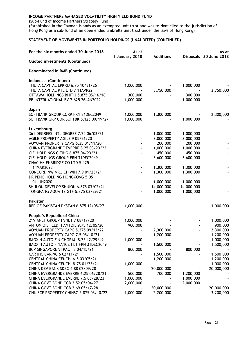(Sub-Fund of Income Partners Strategy Fund)

(Established in the Cayman Islands as an exempted unit trust and was re-domiciled to the jurisdiction of Hong Kong as a sub-fund of an open ended umbrella unit trust under the laws of Hong Kong)

#### **STATEMENT OF MOVEMENTS IN PORTFOLIO HOLDINGS (UNAUDITED) (CONTINUED)**

| For the six months ended 30 June 2018                                        | As at<br>1 January 2018 | <b>Additions</b> |            | As at<br>Disposals 30 June 2018 |
|------------------------------------------------------------------------------|-------------------------|------------------|------------|---------------------------------|
| Quoted investments (Continued)                                               |                         |                  |            |                                 |
| Denominated in RMB (Continued)                                               |                         |                  |            |                                 |
| Indonesia (Continued)                                                        |                         |                  |            |                                 |
| THETA CAPITAL LPKRIJ 6.75 10/31/26<br>THETA CAPITAL PTE LTD 7 11APR22        | 1,000,000               | 3,750,000        | 1,000,000  | 3,750,000                       |
| OTTAWA HOLDINGS BHITIJ 5.875 05/16/18                                        | 300,000                 |                  | 300,000    |                                 |
| PB INTERNATIONAL BV 7.625 26JAN2022                                          | 1,000,000               |                  | 1,000,000  |                                 |
| Japan                                                                        |                         |                  |            |                                 |
| SOFTBANK GROUP CORP FRN 31DEC2049                                            | 1,000,000               | 1,300,000        |            | 2,300,000                       |
| SOFTBANK GRP COR SOFTBK 5.125 09/19/27                                       | 1,000,000               |                  | 1,000,000  |                                 |
| Luxembourg                                                                   |                         |                  |            |                                 |
| 361 DEGREES INTL DEGREE 7.25 06/03/21                                        |                         | 1,000,000        | 1,000,000  |                                 |
| AGILE PROPERTY AGILE 9 05/21/20                                              |                         | 3,000,000        | 3,000,000  |                                 |
| AOYUAN PROPERTY CAPG 6.35 01/11/20                                           |                         | 200,000          | 200,000    |                                 |
| CHINA EVERGRANDE EVERRE 8.25 03/23/22                                        |                         | 1,000,000        | 1,000,000  |                                 |
| CIFI HOLDINGS CIFIHG 6.875 04/23/21                                          |                         | 450,000          | 450,000    |                                 |
| CIFI HOLDINGS GROUP FRN 31DEC2049<br>CNAC HK FNBRIDGE CO LTD 5.125           |                         | 3,600,000        | 3,600,000  |                                 |
| 14MAR2028                                                                    |                         | 1,300,000        | 1,300,000  |                                 |
| CONCORD NW NRG CHIWIN 7.9 01/23/21<br>DR PENG HOLDING HONGKONG 5.05          |                         | 1,300,000        | 1,300,000  |                                 |
| 01JUN2020                                                                    |                         | 1,000,000        | 1,000,000  |                                 |
| SHUI ON DEVELOP SHUION 6.875 03/02/21                                        |                         | 14,000,000       | 14,000,000 |                                 |
| TONGFANG AQUA TSIGTF 5.375 03/29/21                                          |                         | 1,000,000        | 1,000,000  |                                 |
| Pakistan                                                                     |                         |                  |            |                                 |
| REP OF PAKISTAN PKSTAN 6.875 12/05/27                                        | 1,000,000               |                  |            | 1,000,000                       |
| People's Republic of China                                                   |                         |                  |            |                                 |
| 21VIANET GROUP   VNET 7 08/17/20                                             | 1,000,000               |                  |            | 1,000,000                       |
| ANTON OILFIELD H ANTOIL 9.75 12/05/20<br>AOYUAN PROPERTY CAPG 5.375 09/13/22 | 900,000                 |                  |            | 900,000                         |
|                                                                              |                         | 2,300,000        |            | 2,300,000                       |
| AOYUAN PROPERTY CAPG 7.5 05/10/21<br>BAOXIN AUTO FIN CHGRAU 8.75 12/29/49    |                         | 1,200,000        |            | 1,200,000                       |
| BAOXIN AUTO FINANCE I LT FRN 31DEC2049                                       | 1,000,000               | 1,500,000        |            | 1,000,000<br>1,500,000          |
| BCP SINGAPORE VI PACT 8 04/15/21                                             | 800,000                 |                  | 800,000    |                                 |
| CAR INC CARINC 6 02/11/21                                                    |                         | 1,500,000        |            | 1,500,000                       |
| CENTRAL CHINA CENCHI 6.5 03/05/21                                            |                         | 1,200,000        |            | 1,200,000                       |
| CENTRAL CHINA CENCHI 8.75 01/23/21                                           | 1,000,000               |                  |            | 1,000,000                       |
| CHINA DEV BANK SDBC 4.88 02/09/28                                            |                         | 20,000,000       |            | 20,000,000                      |
| CHINA EVERGRANDE EVERRE 6.25 06/28/21                                        | 500,000                 | 700,000          | 1,200,000  |                                 |
| CHINA EVERGRANDE EVERRE 7.5 06/28/23                                         | 1,000,000               |                  | 1,000,000  |                                 |
| CHINA GOVT BOND CGB 3.52 05/04/27                                            | 2,000,000               |                  | 2,000,000  |                                 |
| CHINA GOVT BOND CGB 3.69 05/17/28                                            |                         | 20,000,000       |            | 20,000,000                      |
| CHN SCE PROPERTY CHINSC 5.875 03/10/22                                       | 1,000,000               | 2,200,000        |            | 3,200,000                       |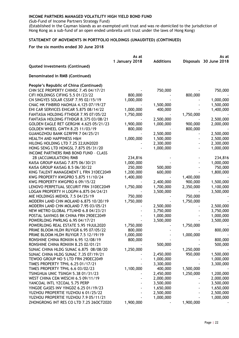(Sub-Fund of Income Partners Strategy Fund)

(Established in the Cayman Islands as an exempted unit trust and was re-domiciled to the jurisdiction of Hong Kong as a sub-fund of an open ended umbrella unit trust under the laws of Hong Kong)

### **STATEMENT OF MOVEMENTS IN PORTFOLIO HOLDINGS (UNAUDITED) (CONTINUED)**

#### **For the six months ended 30 June 2018**

|                                         | As at          |                  |           | As at                  |
|-----------------------------------------|----------------|------------------|-----------|------------------------|
|                                         | 1 January 2018 | <b>Additions</b> |           | Disposals 30 June 2018 |
| Quoted investments (Continued)          |                |                  |           |                        |
| Denominated in RMB (Continued)          |                |                  |           |                        |
| People's Republic of China (Continued)  |                |                  |           |                        |
| CHN SCE PROPERTY CHINSC 7.45 04/17/21   |                | 750,000          |           | 750,000                |
| CIFI HOLDINGS CIFIHG 5.5 01/23/22       | 800,000        |                  | 800,000   |                        |
| CN SINGYES SOLAR CSSXF 7.95 02/15/19    | 1,000,000      |                  |           | 1,000,000              |
| CNAC HK FINBRID HAOHUA 4.125 07/19/27   |                | 1,500,000        |           | 1,500,000              |
| EHI CAR SERVICES EHICAR 5.875 08/14/22  | 1,000,000      | 400,000          |           | 1,400,000              |
| FANTASIA HOLDING FTHDGR 7.95 07/05/22   | 1,750,000      |                  | 1,750,000 |                        |
| FANTASIA HOLDING FTHDGR 8.375 03/08/21  |                | 2,500,000        |           | 2,500,000              |
| GOLDEN EAGLE RET GERGHK 4.625 05/21/23  | 1,900,000      | 1,000,000        | 900,000   | 2,000,000              |
| <b>GOLDEN WHEEL GWTH 8.25 11/03/19</b>  | 800,000        |                  | 800,000   |                        |
| GUANGZHOU BANK GZRFPR 7 04/25/21        |                | 2,500,000        |           | 2,500,000              |
| <b>HEALTH AND HAPPINESS H&amp;H</b>     | 1,000,000      | 1,500,000        |           | 2,500,000              |
| HILONG HOLDING LTD 7.25 22JUN2020       |                | 2,300,000        |           | 2,300,000              |
| HONG SENG LTD HONGSL 7.875 05/31/20     |                | 1,000,000        |           | 1,000,000              |
| INCOME PARTNERS RMB BOND FUND - CLASS   |                |                  |           |                        |
| 2B (ACCUMULATION) RMB                   | 234,816        |                  |           | 234,816                |
| KAISA GROUP KAISAG 7.875 06/30/21       | 1,000,000      |                  |           | 1,000,000              |
| KAISA GROUP KAISAG 8.5 06/30/22         | 250,000        | 500,000          |           | 750,000                |
| KING TALENT MANAGEMENT L FRN 31DEC2049  | 1,200,000      | 600,000          |           | 1,800,000              |
| KWG PROPERTY KWGPRO 5.875 11/10/24      | 1,400,000      |                  | 1,400,000 |                        |
| KWG PROPERTY KWGPRO 6 09/15/22          |                | 2,400,000        | 900,000   | 1,500,000              |
| LENOVO PERPETUAL SECURIT FRN 31DEC2049  | 1,750,000      | 1,700,000        | 2,350,000 | 1,100,000              |
| LOGAN PROPERTY H LOGPH 6.875 04/24/21   |                | 3,500,000        |           | 3,500,000              |
| MIE HOLDINGS MIEHOL 7.5 04/25/19        | 750,000        |                  | 750,000   |                        |
| MODERN LAND CHN MOLAND 6.875 10/20/19   | 1,750,000      |                  | 1,750,000 |                        |
| MODERN LAND CHN MOLAND 7.95 03/05/21    |                | 2,500,000        |           | 2,500,000              |
| NEW METRO GLOBAL FTLNHD 6.8 04/23/21    |                | 3,750,000        |           | 3,750,000              |
| POSTAL SAVINGS BK CHINA FRN 29DEC2049   |                | 1,000,000        |           | 1,000,000              |
| POWERLONG PWRLNG 6.95 04/17/21          |                | 3,500,000        |           | 3,500,000              |
| POWERLONG REAL ESTATE 5.95 19JUL2020    | 1,750,000      |                  | 1,750,000 |                        |
| PRIME BLOOM HLDH RUYIGR 6.95 07/05/22   | 800,000        |                  |           | 800,000                |
| PRIME BLOOM HLDH RUYIGR 7.5 12/19/19    | 1,000,000      |                  | 1,000,000 |                        |
| RONSHINE CHINA RONXIN 6.95 12/08/19     | 800,000        |                  |           | 800,000                |
| RONSHINE CHINA RONXIN 8.25 02/01/21     |                | 500,000          |           | 500,000                |
| SUNAC CHINA HLDG SUNAC 6.875 08/08/20   | 1,250,000      |                  | 1,250,000 |                        |
| SUNAC CHINA HLDG SUNAC 7.35 07/19/21    |                | 2,450,000        | 950,000   | 1,500,000              |
| TEWOO GROUP NO 5 LTD FRN 29DEC2049      |                | 1,000,000        |           | 1,000,000              |
| TIMES PROPERTY TPHL 6.25 01/17/21       |                | 3,300,000        |           | 3,300,000              |
| TIMES PROPERTY TPHL 6.6 03/02/23        | 1,100,000      | 400,000          | 1,500,000 |                        |
| TSINGHUA UNIC TSINGH 5.38 01/31/23      |                | 2,450,000        | 1,250,000 | 1,200,000              |
| WEST CHINA CEM WESCHI 6.5 09/11/19      |                | 2,000,000        |           | 2,000,000              |
| YANCOAL INTL YZCOAL 5.75 PERP           |                | 3,500,000        |           | 3,500,000              |
| YINGDE GASES INV YINGDZ 6.25 01/19/23   |                | 1,650,000        |           | 1,650,000              |
| YUZHOU PROPERTIE YUZHOU 6 01/25/22      |                | 2,500,000        |           | 2,500,000              |
| YUZHOU PROPERTIE YUZHOU 7.9 05/11/21    |                | 1,000,000        |           | 1,000,000              |
| ZHONGRONG INT RES CO LTD 7.25 26OCT2020 | 1,900,000      |                  | 1,900,000 |                        |